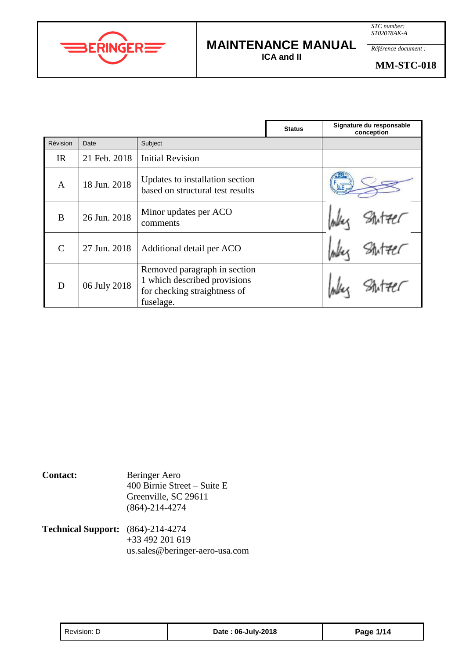



## **MAINTENANCE MANUAL**

**ICA and II**

|              |              |                                                                                                           | <b>Status</b> | Signature du responsable<br>conception |
|--------------|--------------|-----------------------------------------------------------------------------------------------------------|---------------|----------------------------------------|
| Révision     | Date         | Subject                                                                                                   |               |                                        |
| IR           | 21 Feb. 2018 | <b>Initial Revision</b>                                                                                   |               |                                        |
| $\mathbf{A}$ | 18 Jun. 2018 | Updates to installation section<br>based on structural test results                                       |               |                                        |
| B            | 26 Jun. 2018 | Minor updates per ACO<br>comments                                                                         |               |                                        |
| $\mathsf{C}$ | 27 Jun. 2018 | Additional detail per ACO                                                                                 |               |                                        |
| D            | 06 July 2018 | Removed paragraph in section<br>1 which described provisions<br>for checking straightness of<br>fuselage. |               |                                        |

**Contact:** Beringer Aero 400 Birnie Street – Suite E Greenville, SC 29611 (864)-214-4274

**Technical Support:** (864)-214-4274  $+33$  492 201 619 us.sales@beringer-aero-usa.com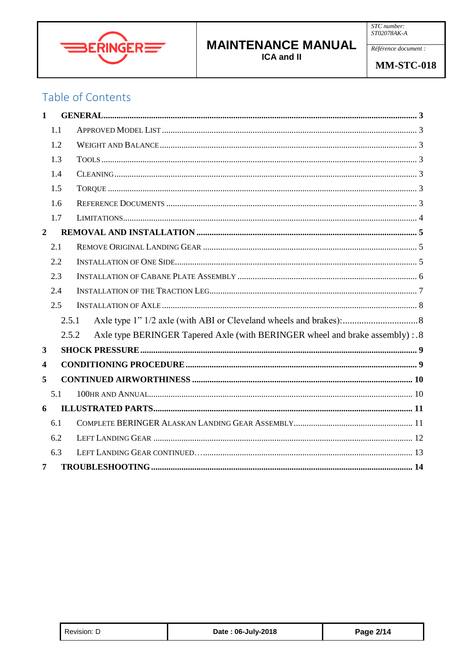

Référence document :

## Table of Contents

| $\mathbf{1}$            |     |                                                                                        |
|-------------------------|-----|----------------------------------------------------------------------------------------|
|                         | 1.1 |                                                                                        |
|                         | 1.2 |                                                                                        |
|                         | 1.3 |                                                                                        |
|                         | 1.4 |                                                                                        |
|                         | 1.5 |                                                                                        |
|                         | 1.6 |                                                                                        |
|                         | 1.7 |                                                                                        |
| $\boldsymbol{2}$        |     |                                                                                        |
|                         | 2.1 |                                                                                        |
|                         | 2.2 |                                                                                        |
|                         | 2.3 |                                                                                        |
|                         | 2.4 |                                                                                        |
|                         | 2.5 |                                                                                        |
|                         |     | 2.5.1                                                                                  |
|                         |     | Axle type BERINGER Tapered Axle (with BERINGER wheel and brake assembly) : .8<br>2.5.2 |
| 3                       |     |                                                                                        |
| $\overline{\mathbf{4}}$ |     |                                                                                        |
| 5                       |     |                                                                                        |
|                         | 5.1 |                                                                                        |
| 6                       |     |                                                                                        |
|                         | 6.1 |                                                                                        |
|                         | 6.2 |                                                                                        |
|                         | 6.3 |                                                                                        |
| 7                       |     |                                                                                        |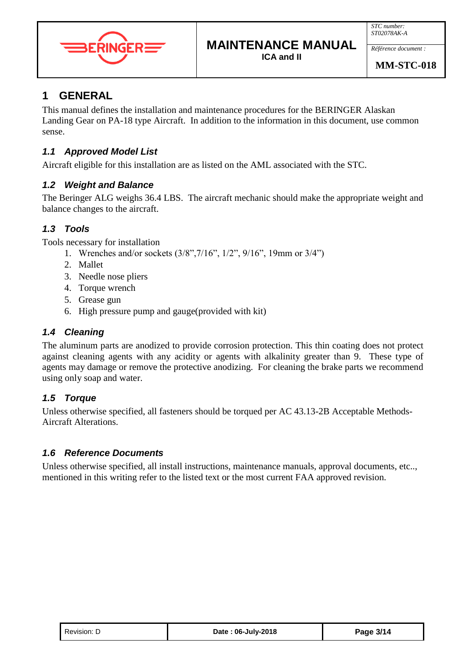



*Référence document :*

### <span id="page-2-0"></span>**1 GENERAL**

This manual defines the installation and maintenance procedures for the BERINGER Alaskan Landing Gear on PA-18 type Aircraft. In addition to the information in this document, use common sense.

### <span id="page-2-1"></span>*1.1 Approved Model List*

Aircraft eligible for this installation are as listed on the AML associated with the STC.

#### <span id="page-2-2"></span>*1.2 Weight and Balance*

The Beringer ALG weighs 36.4 LBS. The aircraft mechanic should make the appropriate weight and balance changes to the aircraft.

#### <span id="page-2-3"></span>*1.3 Tools*

Tools necessary for installation

- 1. Wrenches and/or sockets (3/8",7/16", 1/2", 9/16", 19mm or 3/4")
- 2. Mallet
- 3. Needle nose pliers
- 4. Torque wrench
- 5. Grease gun
- 6. High pressure pump and gauge(provided with kit)

#### <span id="page-2-4"></span>*1.4 Cleaning*

The aluminum parts are anodized to provide corrosion protection. This thin coating does not protect against cleaning agents with any acidity or agents with alkalinity greater than 9. These type of agents may damage or remove the protective anodizing. For cleaning the brake parts we recommend using only soap and water.

#### <span id="page-2-5"></span>*1.5 Torque*

Unless otherwise specified, all fasteners should be torqued per AC 43.13-2B Acceptable Methods-Aircraft Alterations.

#### <span id="page-2-6"></span>*1.6 Reference Documents*

Unless otherwise specified, all install instructions, maintenance manuals, approval documents, etc.., mentioned in this writing refer to the listed text or the most current FAA approved revision.

| Revision: D | Date: 06-July-2018 | Page 3/14 |
|-------------|--------------------|-----------|
|-------------|--------------------|-----------|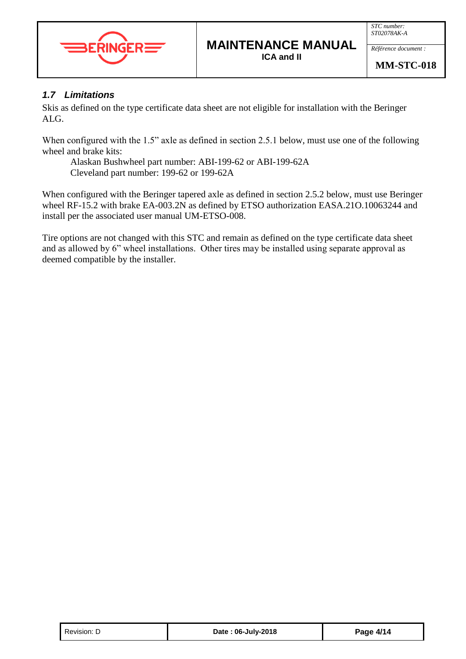

*Référence document :*

#### <span id="page-3-0"></span>*1.7 Limitations*

Skis as defined on the type certificate data sheet are not eligible for installation with the Beringer ALG.

When configured with the 1.5" axle as defined in section 2.5.1 below, must use one of the following wheel and brake kits:

Alaskan Bushwheel part number: ABI-199-62 or ABI-199-62A Cleveland part number: 199-62 or 199-62A

When configured with the Beringer tapered axle as defined in section 2.5.2 below, must use Beringer wheel RF-15.2 with brake EA-003.2N as defined by ETSO authorization EASA.21O.10063244 and install per the associated user manual UM-ETSO-008.

Tire options are not changed with this STC and remain as defined on the type certificate data sheet and as allowed by 6" wheel installations. Other tires may be installed using separate approval as deemed compatible by the installer.

| Revision: D | Date: 06-July-2018 | Page 4/14 |
|-------------|--------------------|-----------|
|-------------|--------------------|-----------|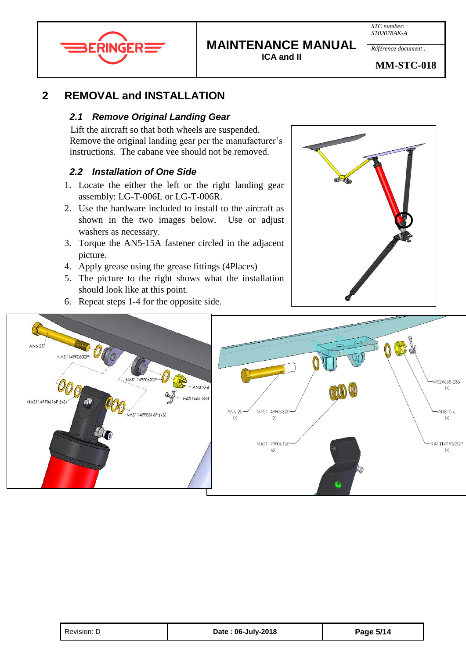

# **MAINTENANCE MANUAL**

**ICA and II**

*Référence document :*

### <span id="page-4-1"></span><span id="page-4-0"></span>**2 REMOVAL and INSTALLATION**

#### *2.1 Remove Original Landing Gear*

Lift the aircraft so that both wheels are suspended. Remove the original landing gear per the manufacturer's instructions. The cabane vee should not be removed.

### <span id="page-4-2"></span>*2.2 Installation of One Side*

- 1. Locate the either the left or the right landing gear assembly: LG-T-006L or LG-T-006R.
- 2. Use the hardware included to install to the aircraft as shown in the two images below. Use or adjust washers as necessary.
- 3. Torque the AN5-15A fastener circled in the adjacent picture.
- 4. Apply grease using the grease fittings (4Places)

6. Repeat steps 1-4 for the opposite side.

5. The picture to the right shows what the installation should look like at this point.



AN6-25 NAS1149F0632P MS24665-283 AN310-6  $1X$ MS24665-283 NAS1149F0616P (x3) AN310-6 AN6-25 N AS1149F0632 NAS1149F0616P (x3)  $1\times$ 1X NAS1149F0616F VAS1149F0632P 6X 1X

| Revision: D | Date: 06-July-2018 | Page 5/14 |
|-------------|--------------------|-----------|
|-------------|--------------------|-----------|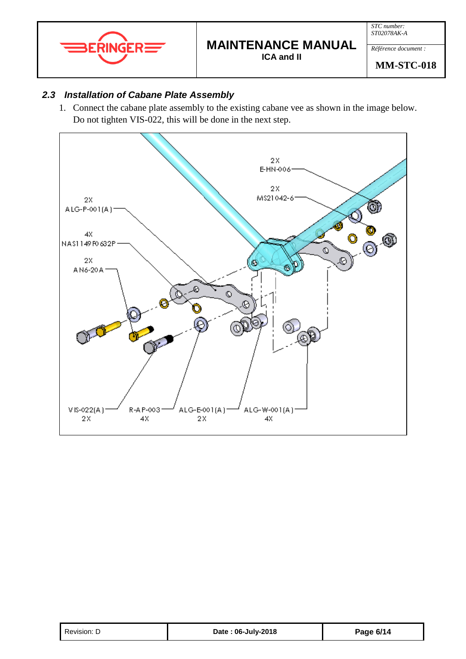

*Référence document :*

**MM-STC-018**

#### <span id="page-5-0"></span>*2.3 Installation of Cabane Plate Assembly*

1. Connect the cabane plate assembly to the existing cabane vee as shown in the image below. Do not tighten VIS-022, this will be done in the next step.



| Revision: D | Date: 06-July-2018 | Page 6/14 |
|-------------|--------------------|-----------|
|-------------|--------------------|-----------|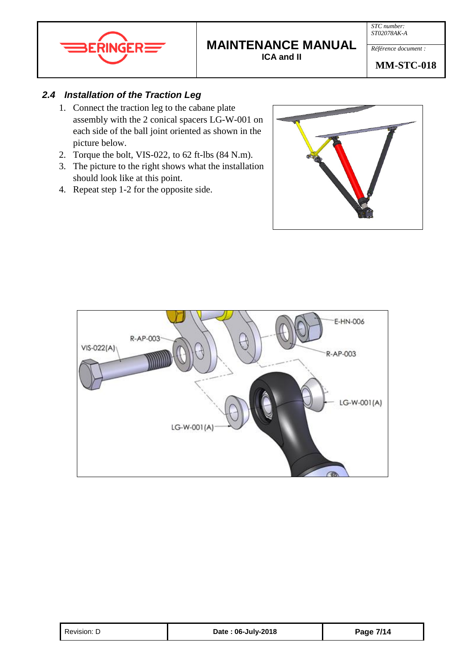

*STC number: ST02078AK-A*

*Référence document :*

**MM-STC-018**

#### <span id="page-6-0"></span>*2.4 Installation of the Traction Leg*

- 1. Connect the traction leg to the cabane plate assembly with the 2 conical spacers LG-W-001 on each side of the ball joint oriented as shown in the picture below.
- 2. Torque the bolt, VIS-022, to 62 ft-lbs (84 N.m).
- 3. The picture to the right shows what the installation should look like at this point.
- 4. Repeat step 1-2 for the opposite side.





| Revision: D | Date: 06-July-2018 | Page 7/14 |
|-------------|--------------------|-----------|
|-------------|--------------------|-----------|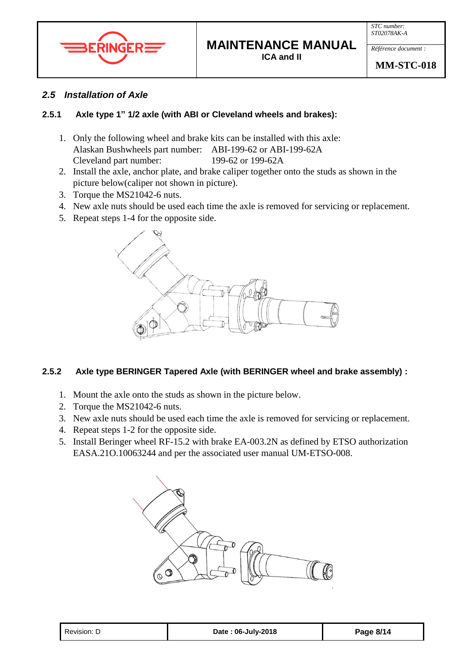



#### <span id="page-7-0"></span>*2.5 Installation of Axle*

#### <span id="page-7-1"></span>**2.5.1 Axle type 1" 1/2 axle (with ABI or Cleveland wheels and brakes):**

- 1. Only the following wheel and brake kits can be installed with this axle: Alaskan Bushwheels part number: ABI-199-62 or ABI-199-62A Cleveland part number: 199-62 or 199-62A
- 2. Install the axle, anchor plate, and brake caliper together onto the studs as shown in the picture below(caliper not shown in picture).
- 3. Torque the MS21042-6 nuts.
- 4. New axle nuts should be used each time the axle is removed for servicing or replacement.
- 5. Repeat steps 1-4 for the opposite side.



#### <span id="page-7-2"></span>**2.5.2 Axle type BERINGER Tapered Axle (with BERINGER wheel and brake assembly) :**

- 1. Mount the axle onto the studs as shown in the picture below.
- 2. Torque the MS21042-6 nuts.
- 3. New axle nuts should be used each time the axle is removed for servicing or replacement.
- 4. Repeat steps 1-2 for the opposite side.
- 5. Install Beringer wheel RF-15.2 with brake EA-003.2N as defined by ETSO authorization EASA.21O.10063244 and per the associated user manual UM-ETSO-008.

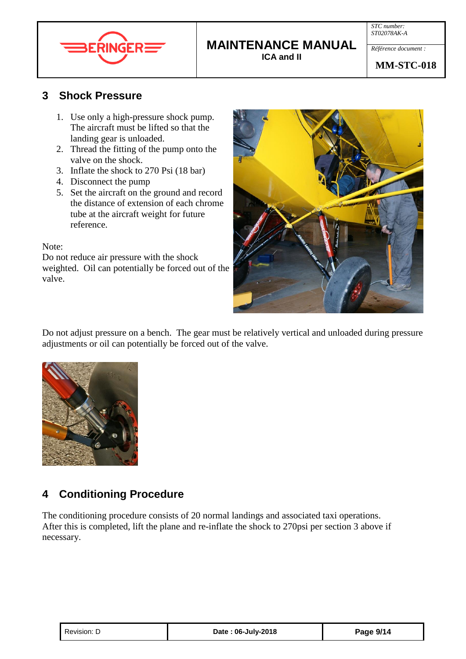



## **MAINTENANCE MANUAL**

**ICA and II**

#### **MM-STC-018**

### <span id="page-8-0"></span>**3 Shock Pressure**

- 1. Use only a high-pressure shock pump. The aircraft must be lifted so that the landing gear is unloaded.
- 2. Thread the fitting of the pump onto the valve on the shock.
- 3. Inflate the shock to 270 Psi (18 bar)
- 4. Disconnect the pump
- 5. Set the aircraft on the ground and record the distance of extension of each chrome tube at the aircraft weight for future reference.

Note:

Do not reduce air pressure with the shock weighted. Oil can potentially be forced out of the valve.



Do not adjust pressure on a bench. The gear must be relatively vertical and unloaded during pressure adjustments or oil can potentially be forced out of the valve.



## <span id="page-8-1"></span>**4 Conditioning Procedure**

The conditioning procedure consists of 20 normal landings and associated taxi operations. After this is completed, lift the plane and re-inflate the shock to 270psi per section 3 above if necessary.

| Revision: D | Date: 06-July-2018 | Page 9/14 |
|-------------|--------------------|-----------|
|-------------|--------------------|-----------|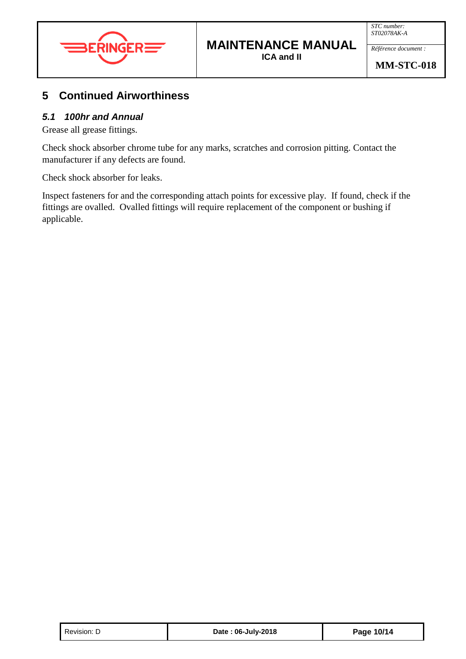

*Référence document :*

## <span id="page-9-0"></span>**5 Continued Airworthiness**

#### <span id="page-9-1"></span>*5.1 100hr and Annual*

Grease all grease fittings.

Check shock absorber chrome tube for any marks, scratches and corrosion pitting. Contact the manufacturer if any defects are found.

Check shock absorber for leaks.

Inspect fasteners for and the corresponding attach points for excessive play. If found, check if the fittings are ovalled. Ovalled fittings will require replacement of the component or bushing if applicable.

| Revision: D | Date: 06-July-2018 | Page 10/14 |
|-------------|--------------------|------------|
|-------------|--------------------|------------|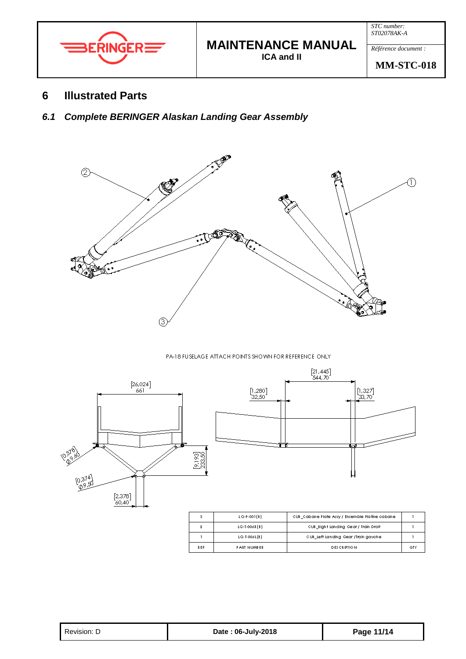

*Référence document :*

**MM-STC-018**

#### <span id="page-10-0"></span>**6 Illustrated Parts**

<span id="page-10-1"></span>*6.1 Complete BERINGER Alaskan Landing Gear Assembly*



#### PA-18 FUSELAGE ATTACH POINTS SHOWN FOR REFERENCE ONLY



| Page 11/14<br>Revision: D<br>Date: 06-July-2018 |  |
|-------------------------------------------------|--|
|-------------------------------------------------|--|

**PART NUMBER** 

 $\bar{D}\bar{E} \bar{S} \bar{C} \bar{R} \bar{I} \bar{P} \bar{T} \bar{I} \bar{O} \bar{N}$ 

QTY

k E P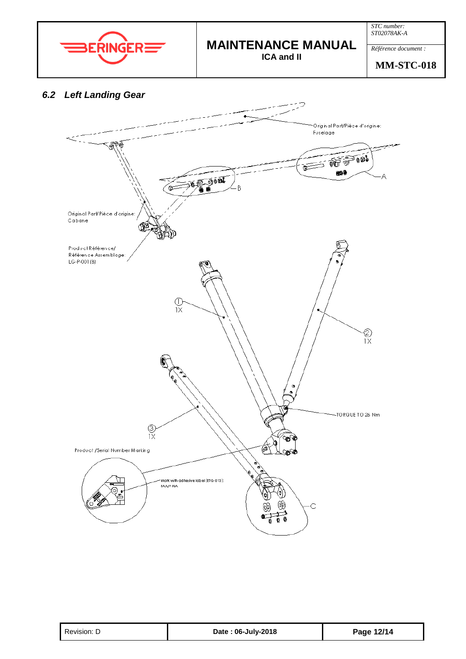

*Référence document :*

**MM-STC-018**

#### <span id="page-11-0"></span>*6.2 Left Landing Gear*



| Revision: D | Date: 06-July-2018 | Page 12/14 |
|-------------|--------------------|------------|
|-------------|--------------------|------------|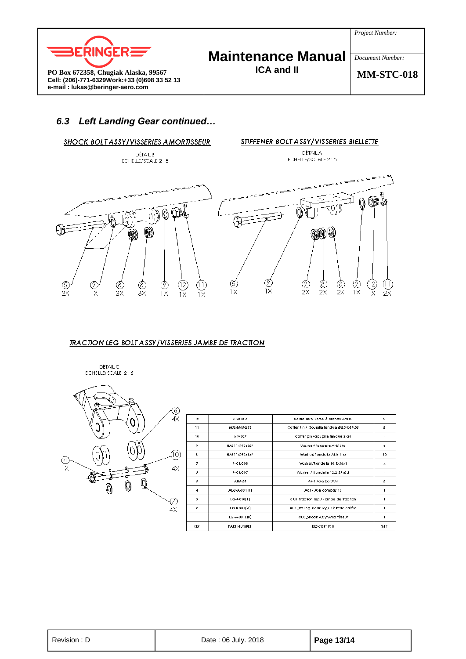



**PO Box 672358, Chugiak Alaska, 99567 Cell: (206)-771-6329Work:+33 (0)608 33 52 13 e-mail : lukas@beringer-aero.com**

# **Maintenance Manual**

**ICA and II**

**MM-STC-018**

*Document Number:*

#### <span id="page-12-0"></span>*6.3 Left Landing Gear continued…*



#### TRACTION LEG BOLT ASSY/VISSERIES JAMBE DE TRACTION



| 12             | AN310-6           | Castle Nut/ Ecrou à crenaux AN6          | 2              |
|----------------|-------------------|------------------------------------------|----------------|
| 11             | MS24665-283       | Cotter Pin / Goupille fendue @2.38x19.05 | $\overline{2}$ |
| 10             | $L-V-007$         | Cotter pin/Goupille fendue 2x20          | $\overline{4}$ |
| ۰              | NAS1 149 F0632 P  | Washer/Rondelle AN6 Std                  | 6              |
| 8              | NAS1149 F0616P    | Washer/Rondelle AN6 fine                 | 10             |
| 7              | $R - C L - 0.08$  | Washer/Rondelle 10.1x16x1                | 4              |
| 6              | $R - C L - 007$   | Washer / Rondelle 12.2x29x0.2            | 4              |
| 5              | ANS-25            | AN6 Axle bolt/Vis                        | $\overline{2}$ |
| $\overline{4}$ | ALG-A-001[8]      | Axis / Axe compas 10                     |                |
| 3              | $L$ G-J-010 $(B)$ | CUB_Traction leg / Jambe de traction     | ı              |
| $\overline{2}$ | LG-8-001(A)       | CUB_Trailing Gear Leg/ Biellette Arriére | 1              |
| 1              | $LG-A-001L(B)$    | CUB_Shock Assy/Amortisseur               |                |
| <b>REP</b>     | PART NUMBER       | <b>DES CRIPTION</b>                      | QTY.           |